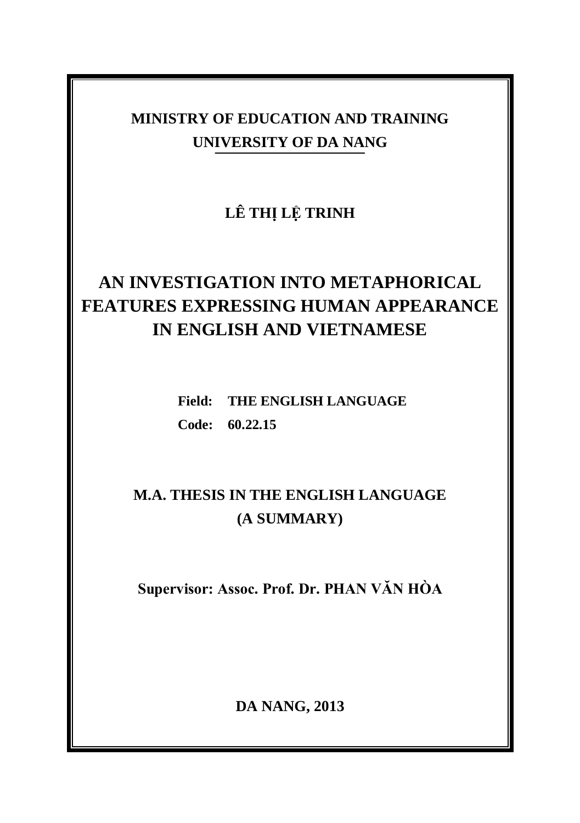# **MINISTRY OF EDUCATION AND TRAINING UNIVERSITY OF DA NANG**

**LÊ THỊ LỆ TRINH**

# **AN INVESTIGATION INTO METAPHORICAL FEATURES EXPRESSING HUMAN APPEARANCE IN ENGLISH AND VIETNAMESE**

**Field: THE ENGLISH LANGUAGE Code: 60.22.15**

# **M.A. THESIS IN THE ENGLISH LANGUAGE (A SUMMARY)**

**Supervisor: Assoc. Prof. Dr. PHAN VĂN HÒA**

**DA NANG, 2013**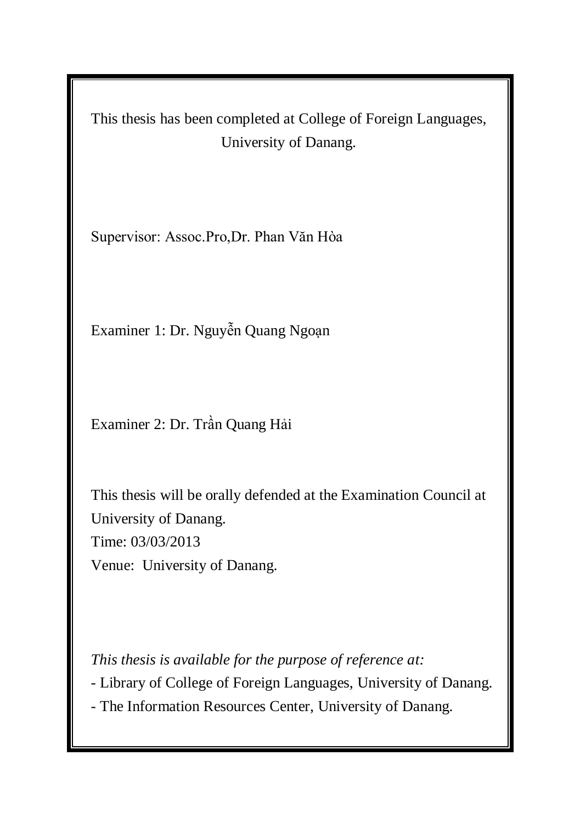This thesis has been completed at College of Foreign Languages, University of Danang.

Supervisor: Assoc.Pro,Dr. Phan Văn Hòa

Examiner 1: Dr. Nguyễn Quang Ngoạn

Examiner 2: Dr. Trần Quang Hải

This thesis will be orally defended at the Examination Council at University of Danang. Time: 03/03/2013 Venue: University of Danang.

*This thesis is available for the purpose of reference at:*

- Library of College of Foreign Languages, University of Danang.

- The Information Resources Center, University of Danang.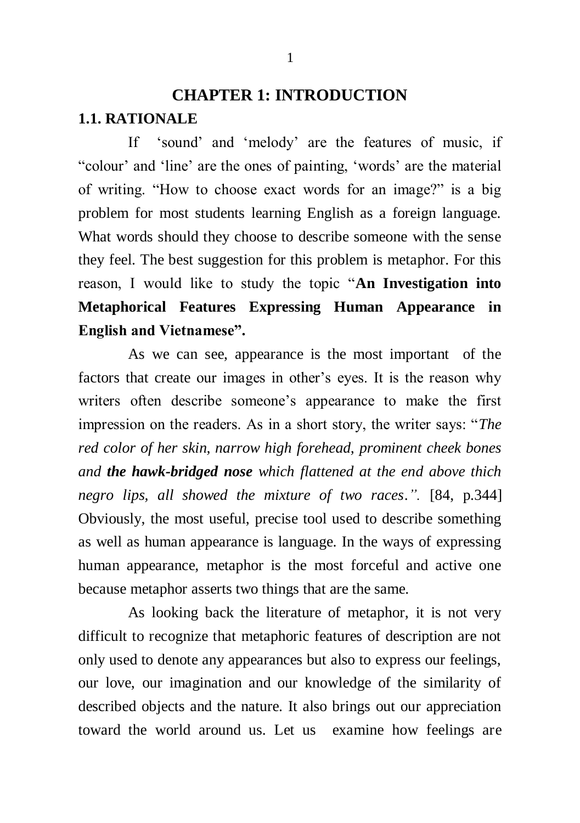# **CHAPTER 1: INTRODUCTION 1.1. RATIONALE**

If "sound" and "melody" are the features of music, if "colour" and "line" are the ones of painting, "words" are the material of writing. "How to choose exact words for an image?" is a big problem for most students learning English as a foreign language. What words should they choose to describe someone with the sense they feel. The best suggestion for this problem is metaphor. For this reason, I would like to study the topic "**An Investigation into Metaphorical Features Expressing Human Appearance in English and Vietnamese".**

As we can see, appearance is the most important of the factors that create our images in other's eyes. It is the reason why writers often describe someone's appearance to make the first impression on the readers. As in a short story, the writer says: "*The red color of her skin, narrow high forehead, prominent cheek bones and the hawk-bridged nose which flattened at the end above thich negro lips, all showed the mixture of two races*.*".* [84, p.344] Obviously, the most useful, precise tool used to describe something as well as human appearance is language. In the ways of expressing human appearance, metaphor is the most forceful and active one because metaphor asserts two things that are the same.

As looking back the literature of metaphor, it is not very difficult to recognize that metaphoric features of description are not only used to denote any appearances but also to express our feelings, our love, our imagination and our knowledge of the similarity of described objects and the nature. It also brings out our appreciation toward the world around us. Let us examine how feelings are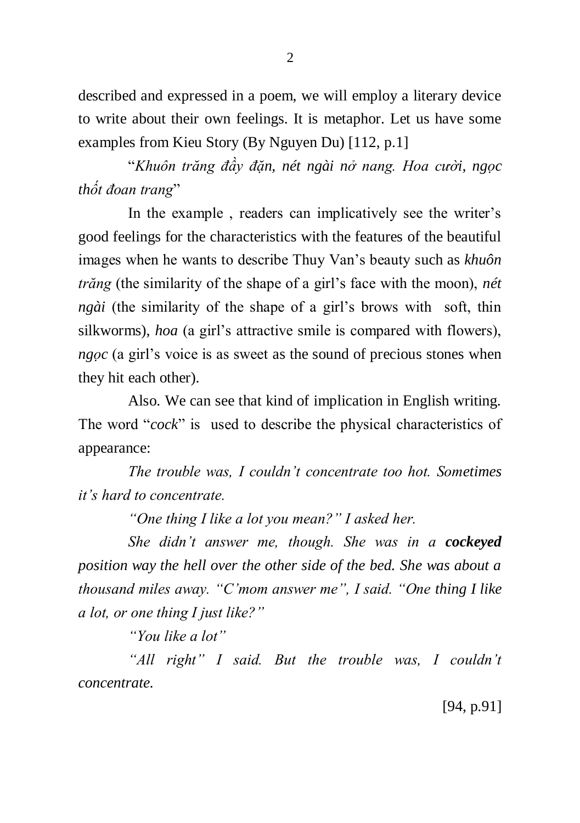described and expressed in a poem, we will employ a literary device to write about their own feelings. It is metaphor. Let us have some examples from Kieu Story (By Nguyen Du) [112, p.1]

"*Khuôn trăng đầy đặn, nét ngài nở nang. Hoa cười, ngọc thốt đoan trang*"

In the example, readers can implicatively see the writer's good feelings for the characteristics with the features of the beautiful images when he wants to describe Thuy Van"s beauty such as *khuôn trăng* (the similarity of the shape of a girl"s face with the moon), *nét ngài* (the similarity of the shape of a girl's brows with soft, thin silkworms), *hoa* (a girl"s attractive smile is compared with flowers), *ngọc* (a girl's voice is as sweet as the sound of precious stones when they hit each other).

Also. We can see that kind of implication in English writing. The word "*cock*" is used to describe the physical characteristics of appearance:

*The trouble was, I couldn't concentrate too hot. Sometimes it's hard to concentrate.*

*"One thing I like a lot you mean?" I asked her.*

*She didn't answer me, though. She was in a cockeyed position way the hell over the other side of the bed. She was about a thousand miles away. "C'mom answer me", I said. "One thing I like a lot, or one thing I just like?"*

*"You like a lot"*

*"All right" I said. But the trouble was, I couldn't concentrate.*

[94, p.91]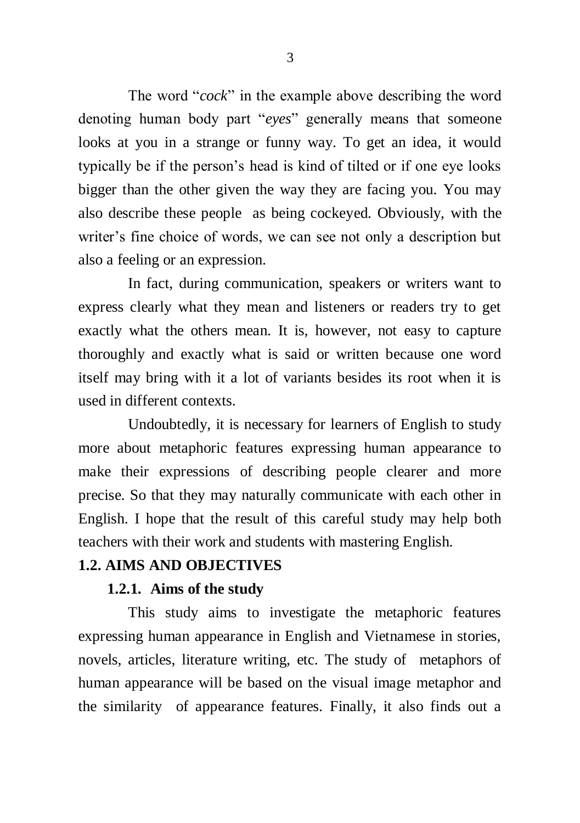The word "*cock*" in the example above describing the word denoting human body part "*eyes*" generally means that someone looks at you in a strange or funny way. To get an idea, it would typically be if the person"s head is kind of tilted or if one eye looks bigger than the other given the way they are facing you. You may also describe these people as being cockeyed. Obviously, with the writer's fine choice of words, we can see not only a description but also a feeling or an expression.

In fact, during communication, speakers or writers want to express clearly what they mean and listeners or readers try to get exactly what the others mean. It is, however, not easy to capture thoroughly and exactly what is said or written because one word itself may bring with it a lot of variants besides its root when it is used in different contexts.

Undoubtedly, it is necessary for learners of English to study more about metaphoric features expressing human appearance to make their expressions of describing people clearer and more precise. So that they may naturally communicate with each other in English. I hope that the result of this careful study may help both teachers with their work and students with mastering English.

### **1.2. AIMS AND OBJECTIVES**

### **1.2.1. Aims of the study**

This study aims to investigate the metaphoric features expressing human appearance in English and Vietnamese in stories, novels, articles, literature writing, etc. The study of metaphors of human appearance will be based on the visual image metaphor and the similarity of appearance features. Finally, it also finds out a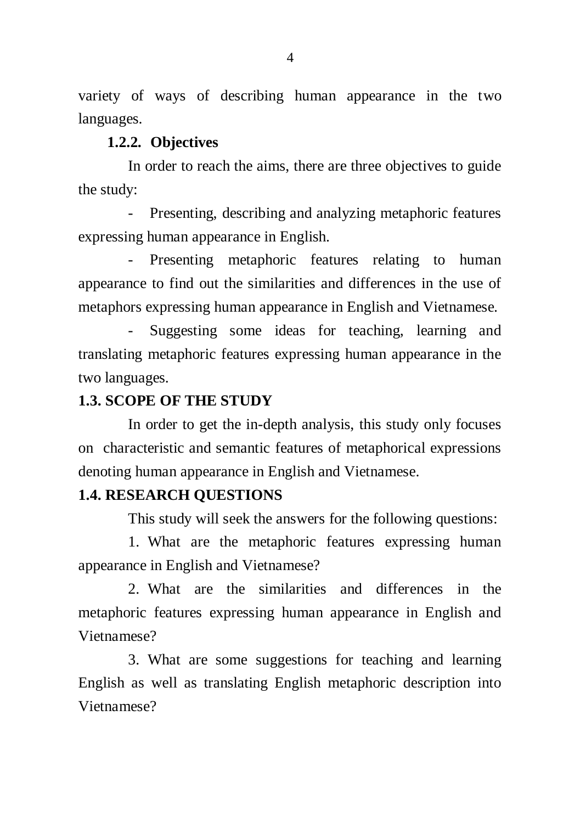variety of ways of describing human appearance in the two languages.

### **1.2.2. Objectives**

In order to reach the aims, there are three objectives to guide the study:

- Presenting, describing and analyzing metaphoric features expressing human appearance in English.

- Presenting metaphoric features relating to human appearance to find out the similarities and differences in the use of metaphors expressing human appearance in English and Vietnamese.

Suggesting some ideas for teaching, learning and translating metaphoric features expressing human appearance in the two languages.

#### **1.3. SCOPE OF THE STUDY**

In order to get the in-depth analysis, this study only focuses on characteristic and semantic features of metaphorical expressions denoting human appearance in English and Vietnamese.

#### **1.4. RESEARCH QUESTIONS**

This study will seek the answers for the following questions:

1. What are the metaphoric features expressing human appearance in English and Vietnamese?

2. What are the similarities and differences in the metaphoric features expressing human appearance in English and Vietnamese?

3. What are some suggestions for teaching and learning English as well as translating English metaphoric description into Vietnamese?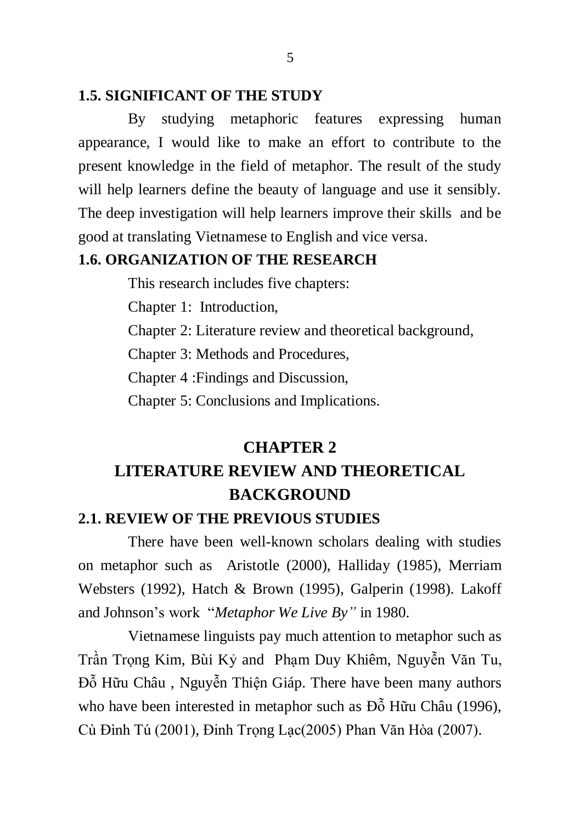### **1.5. SIGNIFICANT OF THE STUDY**

By studying metaphoric features expressing human appearance, I would like to make an effort to contribute to the present knowledge in the field of metaphor. The result of the study will help learners define the beauty of language and use it sensibly. The deep investigation will help learners improve their skills and be good at translating Vietnamese to English and vice versa.

### **1.6. ORGANIZATION OF THE RESEARCH**

This research includes five chapters:

Chapter 1: Introduction,

Chapter 2: Literature review and theoretical background,

Chapter 3: Methods and Procedures,

Chapter 4 :Findings and Discussion,

Chapter 5: Conclusions and Implications.

# **CHAPTER 2 LITERATURE REVIEW AND THEORETICAL BACKGROUND**

#### **2.1. REVIEW OF THE PREVIOUS STUDIES**

There have been well-known scholars dealing with studies on metaphor such as Aristotle (2000), Halliday (1985), Merriam Websters (1992), Hatch & Brown (1995), Galperin (1998). Lakoff and Johnson"s work "*Metaphor We Live By"* in 1980.

Vietnamese linguists pay much attention to metaphor such as Trần Trọng Kim, Bùi Kỷ and Phạm Duy Khiêm, Nguyễn Văn Tu, Đỗ Hữu Châu , Nguyễn Thiện Giáp. There have been many authors who have been interested in metaphor such as Đỗ Hữu Châu (1996), Cù Đình Tú (2001), Đinh Trọng Lạc(2005) Phan Văn Hòa (2007).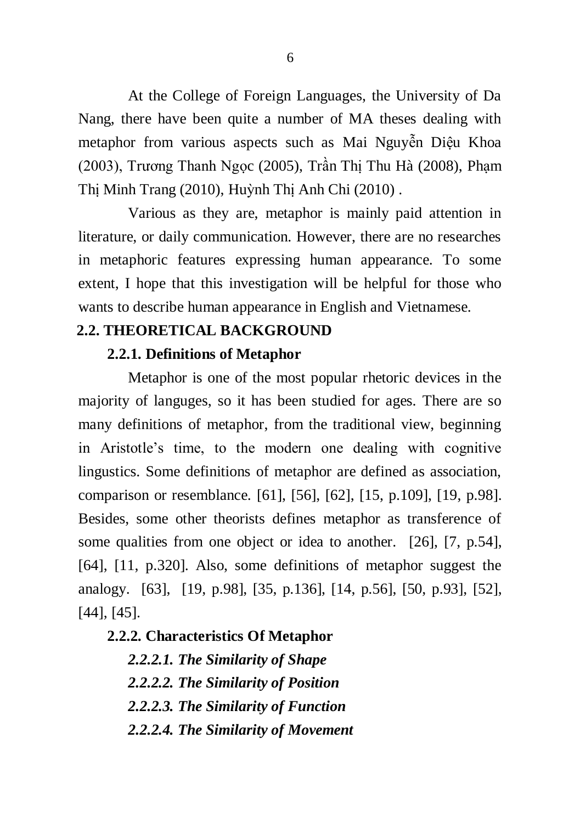At the College of Foreign Languages, the University of Da Nang, there have been quite a number of MA theses dealing with metaphor from various aspects such as Mai Nguyễn Diệu Khoa (2003), Trương Thanh Ngọc (2005), Trần Thị Thu Hà (2008), Phạm Thị Minh Trang (2010), Huỳnh Thị Anh Chi (2010) .

Various as they are, metaphor is mainly paid attention in literature, or daily communication. However, there are no researches in metaphoric features expressing human appearance. To some extent, I hope that this investigation will be helpful for those who wants to describe human appearance in English and Vietnamese.

### **2.2. THEORETICAL BACKGROUND**

#### **2.2.1. Definitions of Metaphor**

Metaphor is one of the most popular rhetoric devices in the majority of languges, so it has been studied for ages. There are so many definitions of metaphor, from the traditional view, beginning in Aristotle"s time, to the modern one dealing with cognitive lingustics. Some definitions of metaphor are defined as association, comparison or resemblance. [61], [56], [62], [15, p.109], [19, p.98]. Besides, some other theorists defines metaphor as transference of some qualities from one object or idea to another. [26], [7, p.54], [64], [11, p.320]. Also, some definitions of metaphor suggest the analogy. [63], [19, p.98], [35, p.136], [14, p.56], [50, p.93], [52], [44], [45].

### **2.2.2. Characteristics Of Metaphor**

*2.2.2.1. The Similarity of Shape 2.2.2.2. The Similarity of Position 2.2.2.3. The Similarity of Function 2.2.2.4. The Similarity of Movement*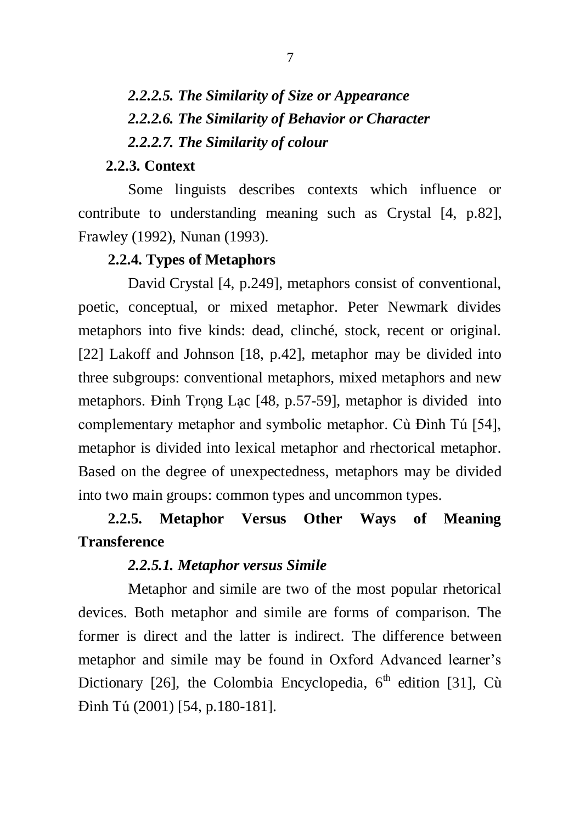# *2.2.2.5. The Similarity of Size or Appearance 2.2.2.6. The Similarity of Behavior or Character 2.2.2.7. The Similarity of colour*

#### **2.2.3. Context**

Some linguists describes contexts which influence or contribute to understanding meaning such as Crystal [4, p.82], Frawley (1992), Nunan (1993).

### **2.2.4. Types of Metaphors**

David Crystal [4, p.249], metaphors consist of conventional, poetic, conceptual, or mixed metaphor. Peter Newmark divides metaphors into five kinds: dead, clinché, stock, recent or original. [22] Lakoff and Johnson [18, p.42], metaphor may be divided into three subgroups: conventional metaphors, mixed metaphors and new metaphors. Đinh Trọng Lạc [48, p.57-59], metaphor is divided into complementary metaphor and symbolic metaphor. Cù Đình Tú [54], metaphor is divided into lexical metaphor and rhectorical metaphor. Based on the degree of unexpectedness, metaphors may be divided into two main groups: common types and uncommon types.

# **2.2.5. Metaphor Versus Other Ways of Meaning Transference**

#### *2.2.5.1. Metaphor versus Simile*

Metaphor and simile are two of the most popular rhetorical devices. Both metaphor and simile are forms of comparison. The former is direct and the latter is indirect. The difference between metaphor and simile may be found in Oxford Advanced learner"s Dictionary [26], the Colombia Encyclopedia,  $6<sup>th</sup>$  edition [31], Cù Đình Tú (2001) [54, p.180-181].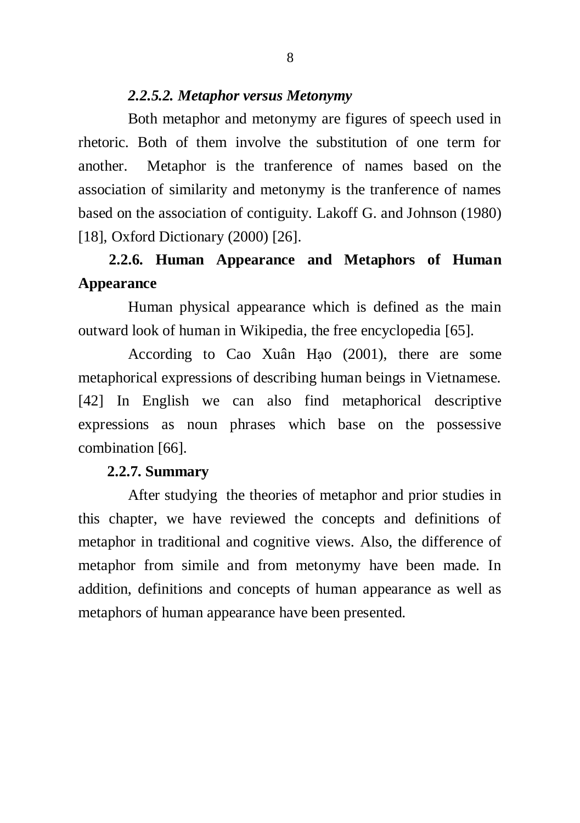### *2.2.5.2. Metaphor versus Metonymy*

Both metaphor and metonymy are figures of speech used in rhetoric. Both of them involve the substitution of one term for another. Metaphor is the tranference of names based on the association of similarity and metonymy is the tranference of names based on the association of contiguity. Lakoff G. and Johnson (1980) [18], Oxford Dictionary (2000) [26].

# **2.2.6. Human Appearance and Metaphors of Human Appearance**

Human physical appearance which is defined as the main outward look of human in Wikipedia, the free encyclopedia [65].

According to Cao Xuân Hạo (2001), there are some metaphorical expressions of describing human beings in Vietnamese. [42] In English we can also find metaphorical descriptive expressions as noun phrases which base on the possessive combination [66].

#### **2.2.7. Summary**

After studying the theories of metaphor and prior studies in this chapter, we have reviewed the concepts and definitions of metaphor in traditional and cognitive views. Also, the difference of metaphor from simile and from metonymy have been made. In addition, definitions and concepts of human appearance as well as metaphors of human appearance have been presented.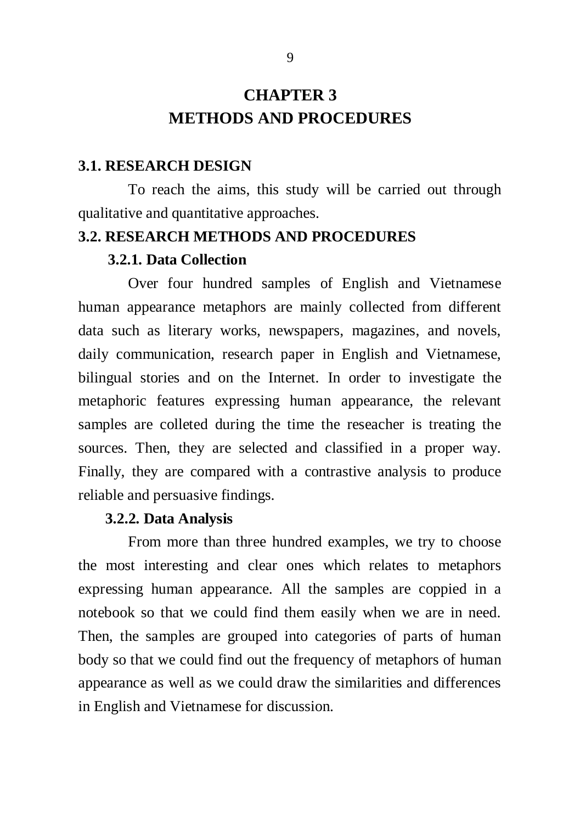# **CHAPTER 3 METHODS AND PROCEDURES**

#### **3.1. RESEARCH DESIGN**

To reach the aims, this study will be carried out through qualitative and quantitative approaches.

#### **3.2. RESEARCH METHODS AND PROCEDURES**

#### **3.2.1. Data Collection**

Over four hundred samples of English and Vietnamese human appearance metaphors are mainly collected from different data such as literary works, newspapers, magazines, and novels, daily communication, research paper in English and Vietnamese, bilingual stories and on the Internet. In order to investigate the metaphoric features expressing human appearance, the relevant samples are colleted during the time the reseacher is treating the sources. Then, they are selected and classified in a proper way. Finally, they are compared with a contrastive analysis to produce reliable and persuasive findings.

#### **3.2.2. Data Analysis**

From more than three hundred examples, we try to choose the most interesting and clear ones which relates to metaphors expressing human appearance. All the samples are coppied in a notebook so that we could find them easily when we are in need. Then, the samples are grouped into categories of parts of human body so that we could find out the frequency of metaphors of human appearance as well as we could draw the similarities and differences in English and Vietnamese for discussion.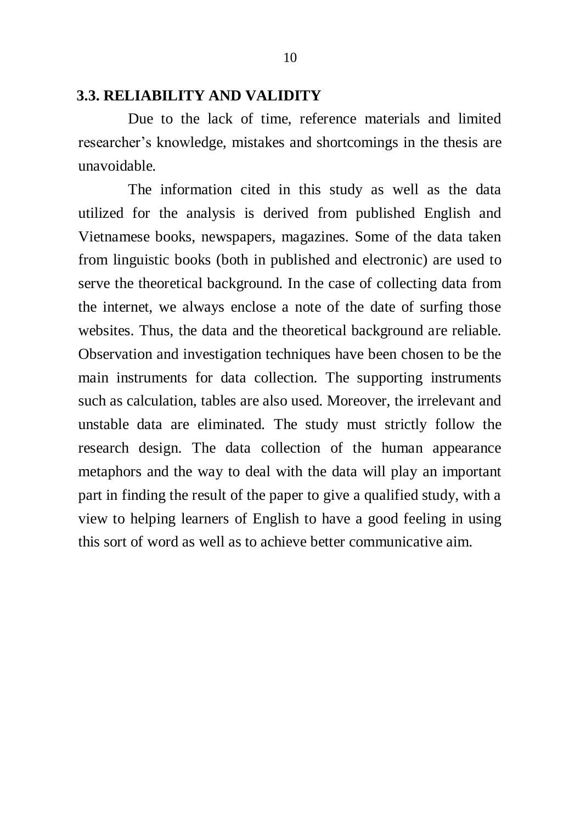#### **3.3. RELIABILITY AND VALIDITY**

Due to the lack of time, reference materials and limited researcher"s knowledge, mistakes and shortcomings in the thesis are unavoidable.

The information cited in this study as well as the data utilized for the analysis is derived from published English and Vietnamese books, newspapers, magazines. Some of the data taken from linguistic books (both in published and electronic) are used to serve the theoretical background. In the case of collecting data from the internet, we always enclose a note of the date of surfing those websites. Thus, the data and the theoretical background are reliable. Observation and investigation techniques have been chosen to be the main instruments for data collection. The supporting instruments such as calculation, tables are also used. Moreover, the irrelevant and unstable data are eliminated. The study must strictly follow the research design. The data collection of the human appearance metaphors and the way to deal with the data will play an important part in finding the result of the paper to give a qualified study, with a view to helping learners of English to have a good feeling in using this sort of word as well as to achieve better communicative aim.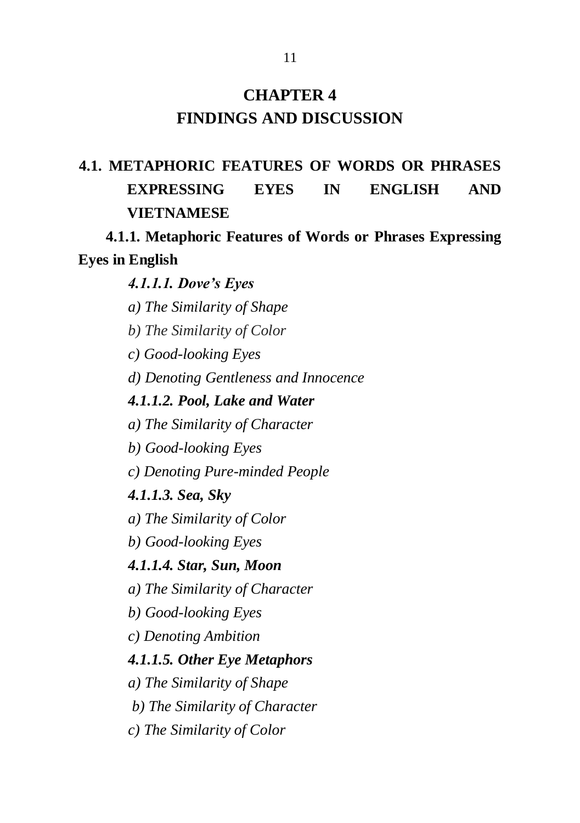# **CHAPTER 4 FINDINGS AND DISCUSSION**

# **4.1. METAPHORIC FEATURES OF WORDS OR PHRASES EXPRESSING EYES IN ENGLISH AND VIETNAMESE**

**4.1.1. Metaphoric Features of Words or Phrases Expressing Eyes in English**

### *4.1.1.1. Dove"s Eyes*

- *a) The Similarity of Shape*
- *b) The Similarity of Color*
- *c) Good-looking Eyes*
- *d) Denoting Gentleness and Innocence*

#### *4.1.1.2. Pool, Lake and Water*

- *a) The Similarity of Character*
- *b) Good-looking Eyes*
- *c) Denoting Pure-minded People*

#### *4.1.1.3. Sea, Sky*

- *a) The Similarity of Color*
- *b) Good-looking Eyes*

#### *4.1.1.4. Star, Sun, Moon*

- *a) The Similarity of Character*
- *b) Good-looking Eyes*
- *c) Denoting Ambition*

#### *4.1.1.5. Other Eye Metaphors*

- *a) The Similarity of Shape*
- *b) The Similarity of Character*
- *c) The Similarity of Color*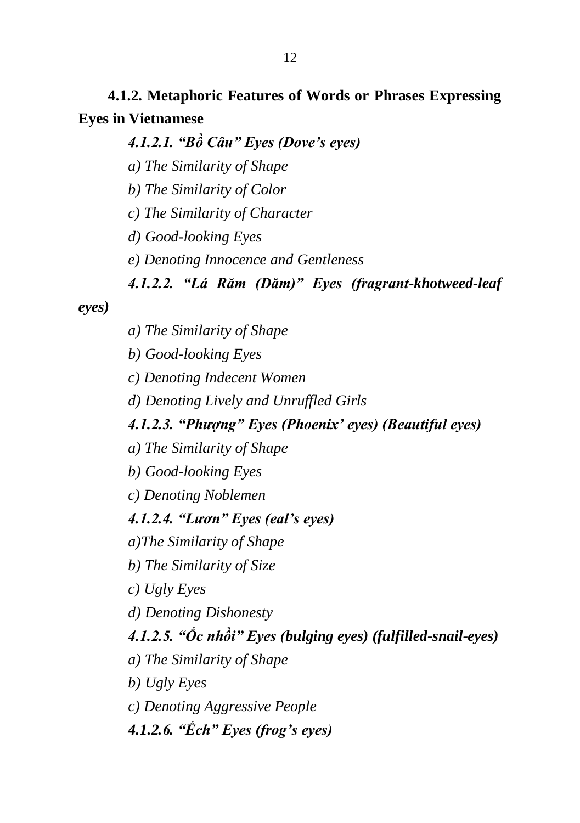**4.1.2. Metaphoric Features of Words or Phrases Expressing Eyes in Vietnamese**

*4.1.2.1. "Bồ Câu" Eyes (Dove"s eyes)*

*a) The Similarity of Shape*

*b) The Similarity of Color*

*c) The Similarity of Character*

*d) Good-looking Eyes*

*e) Denoting Innocence and Gentleness*

### *4.1.2.2. "Lá Răm (Dăm)" Eyes (fragrant-khotweed-leaf*

*eyes)*

*a) The Similarity of Shape*

*b) Good-looking Eyes*

*c) Denoting Indecent Women*

*d) Denoting Lively and Unruffled Girls*

## *4.1.2.3. "Phượng" Eyes (Phoenix" eyes) (Beautiful eyes)*

*a) The Similarity of Shape*

*b) Good-looking Eyes*

*c) Denoting Noblemen*

### *4.1.2.4. "Lươn" Eyes (eal"s eyes)*

*a)The Similarity of Shape*

*b) The Similarity of Size*

*c) Ugly Eyes*

*d) Denoting Dishonesty*

*4.1.2.5. "Ốc nhồi" Eyes (bulging eyes) (fulfilled-snail-eyes)*

*a) The Similarity of Shape*

*b) Ugly Eyes*

*c) Denoting Aggressive People*

*4.1.2.6. "Ếch" Eyes (frog"s eyes)*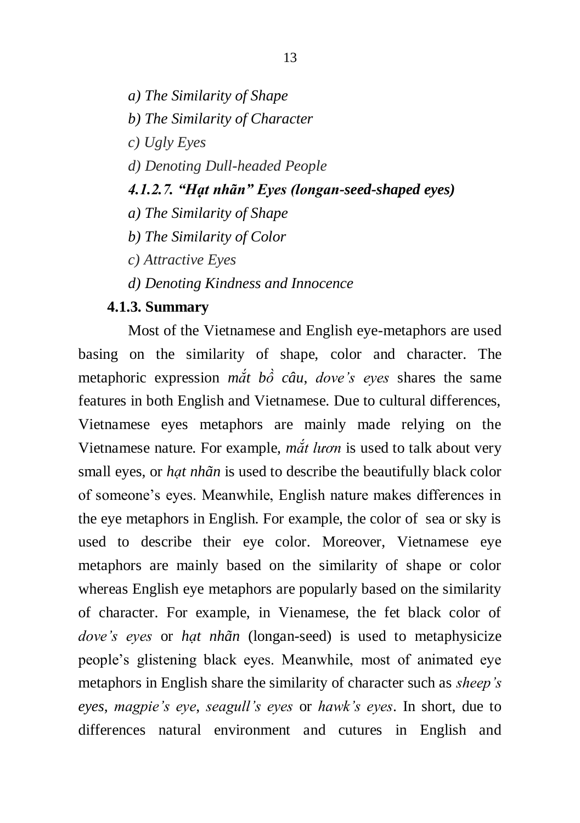- *a) The Similarity of Shape*
- *b) The Similarity of Character*
- *c) Ugly Eyes*
- *d) Denoting Dull-headed People*

#### *4.1.2.7. "Hạt nhãn" Eyes (longan-seed-shaped eyes)*

- *a) The Similarity of Shape*
- *b) The Similarity of Color*
- *c) Attractive Eyes*
- *d) Denoting Kindness and Innocence*

#### **4.1.3. Summary**

Most of the Vietnamese and English eye-metaphors are used basing on the similarity of shape, color and character. The metaphoric expression *mắt bồ câu*, *dove's eyes* shares the same features in both English and Vietnamese. Due to cultural differences, Vietnamese eyes metaphors are mainly made relying on the Vietnamese nature. For example, *mắt lươn* is used to talk about very small eyes, or *hạt nhãn* is used to describe the beautifully black color of someone"s eyes. Meanwhile, English nature makes differences in the eye metaphors in English. For example, the color of sea or sky is used to describe their eye color. Moreover, Vietnamese eye metaphors are mainly based on the similarity of shape or color whereas English eye metaphors are popularly based on the similarity of character. For example, in Vienamese, the fet black color of *dove's eyes* or *hạt nhãn* (longan-seed) is used to metaphysicize people"s glistening black eyes. Meanwhile, most of animated eye metaphors in English share the similarity of character such as *sheep's eyes*, *magpie's eye*, *seagull's eyes* or *hawk's eyes*. In short, due to differences natural environment and cutures in English and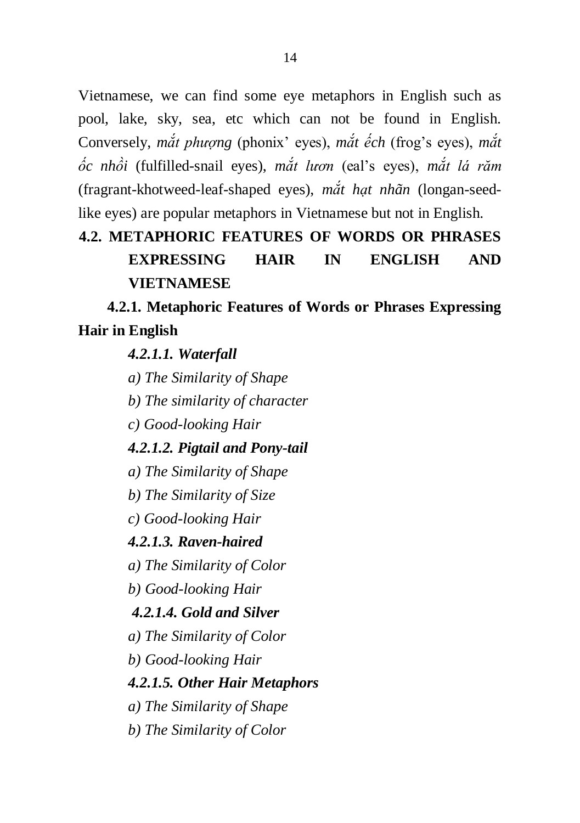Vietnamese, we can find some eye metaphors in English such as pool, lake, sky, sea, etc which can not be found in English. Conversely, *mắt phượng* (phonix" eyes), *mắt ếch* (frog"s eyes), *mắt ốc nhồi* (fulfilled-snail eyes), *mắt lươn* (eal"s eyes), *mắt lá răm* (fragrant-khotweed-leaf-shaped eyes), *mắt hạt nhãn* (longan-seedlike eyes) are popular metaphors in Vietnamese but not in English.

# **4.2. METAPHORIC FEATURES OF WORDS OR PHRASES EXPRESSING HAIR IN ENGLISH AND VIETNAMESE**

**4.2.1. Metaphoric Features of Words or Phrases Expressing Hair in English**

*4.2.1.1. Waterfall*

*a) The Similarity of Shape*

*b) The similarity of character*

*c) Good-looking Hair*

### *4.2.1.2. Pigtail and Pony-tail*

*a) The Similarity of Shape*

*b) The Similarity of Size*

*c) Good-looking Hair*

## *4.2.1.3. Raven-haired*

*a) The Similarity of Color*

*b) Good-looking Hair*

## *4.2.1.4. Gold and Silver*

*a) The Similarity of Color*

*b) Good-looking Hair*

## *4.2.1.5. Other Hair Metaphors*

*a) The Similarity of Shape*

*b) The Similarity of Color*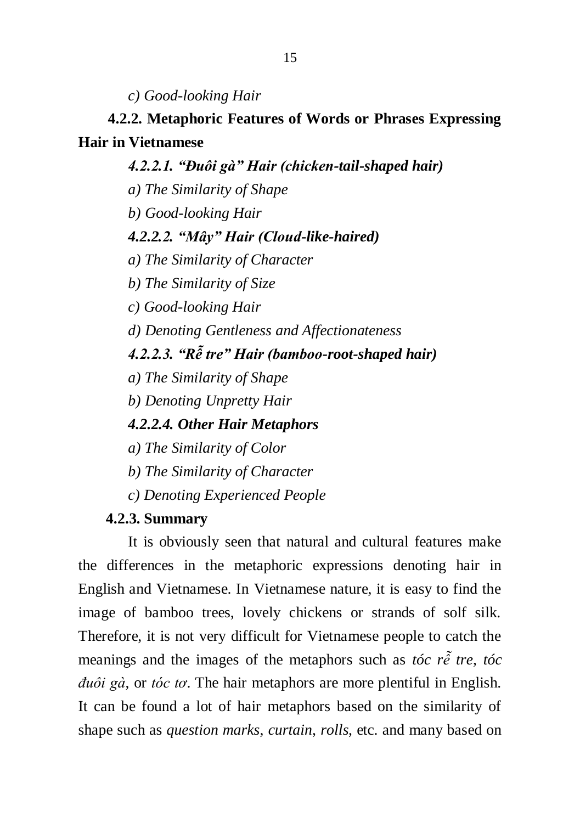*c) Good-looking Hair*

# **4.2.2. Metaphoric Features of Words or Phrases Expressing Hair in Vietnamese**

*4.2.2.1. "Đuôi gà" Hair (chicken-tail-shaped hair) a) The Similarity of Shape b) Good-looking Hair 4.2.2.2. "Mây" Hair (Cloud-like-haired) a) The Similarity of Character b) The Similarity of Size c) Good-looking Hair d) Denoting Gentleness and Affectionateness 4.2.2.3. "Rễ tre" Hair (bamboo-root-shaped hair) a) The Similarity of Shape b) Denoting Unpretty Hair 4.2.2.4. Other Hair Metaphors a) The Similarity of Color*

- *b) The Similarity of Character*
- *c) Denoting Experienced People*

#### **4.2.3. Summary**

It is obviously seen that natural and cultural features make the differences in the metaphoric expressions denoting hair in English and Vietnamese. In Vietnamese nature, it is easy to find the image of bamboo trees, lovely chickens or strands of solf silk. Therefore, it is not very difficult for Vietnamese people to catch the meanings and the images of the metaphors such as *tóc rễ tre*, *tóc đuôi gà*, or *tóc tơ*. The hair metaphors are more plentiful in English. It can be found a lot of hair metaphors based on the similarity of shape such as *question marks*, *curtain*, *rolls*, etc. and many based on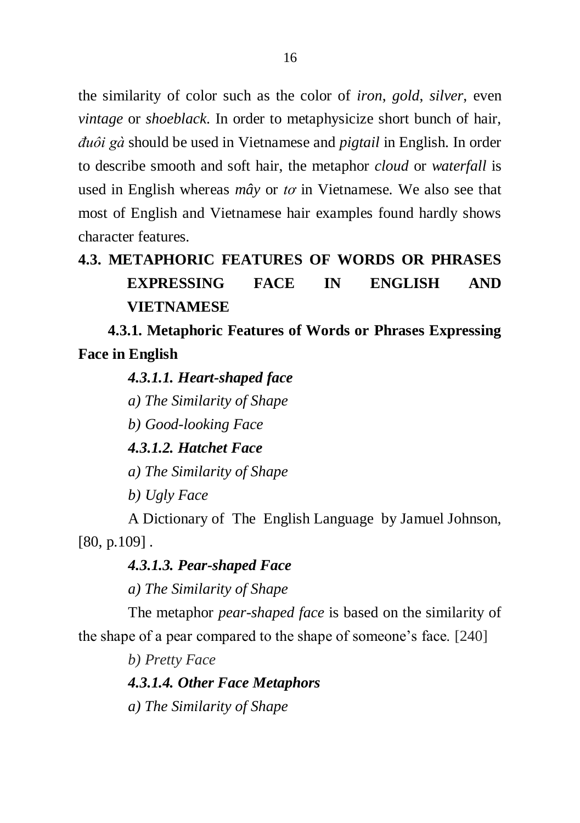the similarity of color such as the color of *iron*, *gold*, *silver*, even *vintage* or *shoeblack*. In order to metaphysicize short bunch of hair, *đuôi gà* should be used in Vietnamese and *pigtail* in English. In order to describe smooth and soft hair, the metaphor *cloud* or *waterfall* is used in English whereas *mây* or *tơ* in Vietnamese. We also see that most of English and Vietnamese hair examples found hardly shows character features.

# **4.3. METAPHORIC FEATURES OF WORDS OR PHRASES EXPRESSING FACE IN ENGLISH AND VIETNAMESE**

**4.3.1. Metaphoric Features of Words or Phrases Expressing Face in English**

### *4.3.1.1. Heart-shaped face*

*a) The Similarity of Shape*

*b) Good-looking Face*

*4.3.1.2. Hatchet Face*

*a) The Similarity of Shape*

*b) Ugly Face*

A Dictionary of The English Language by Jamuel Johnson, [80, p.109].

### *4.3.1.3. Pear-shaped Face*

*a) The Similarity of Shape*

The metaphor *pear-shaped face* is based on the similarity of the shape of a pear compared to the shape of someone"s face. [240]

*b) Pretty Face*

*4.3.1.4. Other Face Metaphors*

*a) The Similarity of Shape*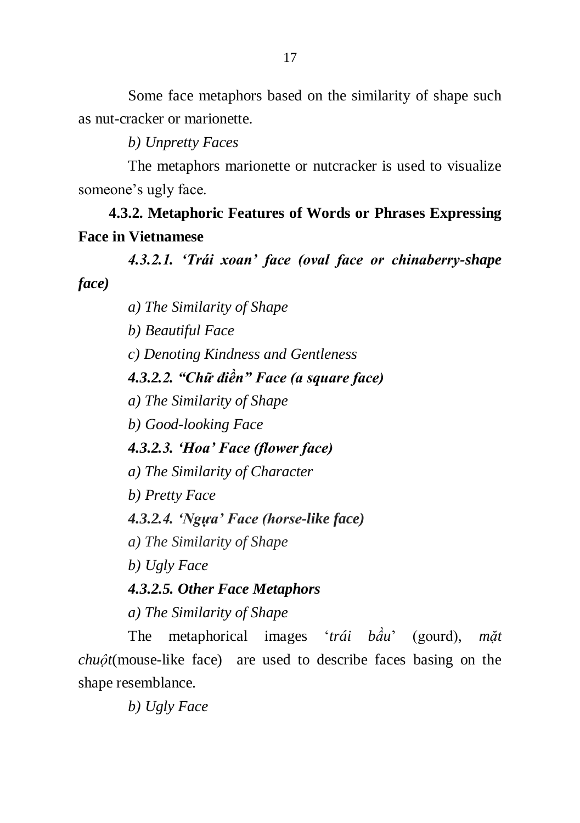Some face metaphors based on the similarity of shape such as nut-cracker or marionette.

*b) Unpretty Faces*

The metaphors marionette or nutcracker is used to visualize someone's ugly face.

**4.3.2. Metaphoric Features of Words or Phrases Expressing Face in Vietnamese** 

*4.3.2.1. "Trái xoan" face (oval face or chinaberry-shape face)*

*a) The Similarity of Shape*

*b) Beautiful Face*

*c) Denoting Kindness and Gentleness*

*4.3.2.2. "Chữ điền" Face (a square face)*

*a) The Similarity of Shape*

*b) Good-looking Face*

*4.3.2.3. "Hoa" Face (flower face)*

*a) The Similarity of Character*

*b) Pretty Face*

*4.3.2.4. "Ngựa" Face (horse-like face)*

*a) The Similarity of Shape*

*b) Ugly Face*

*4.3.2.5. Other Face Metaphors*

*a) The Similarity of Shape*

The metaphorical images "*trái bầu*" (gourd), *mặt chuột*(mouse-like face) are used to describe faces basing on the shape resemblance.

*b) Ugly Face*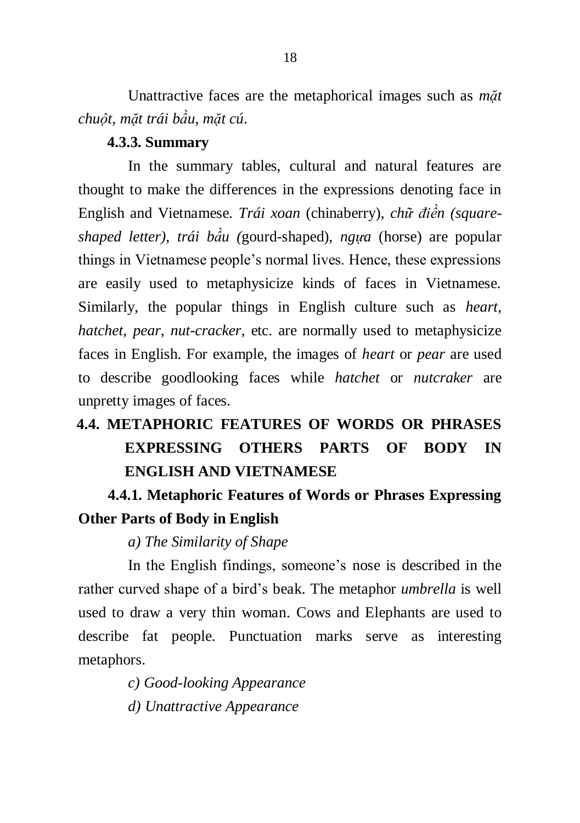Unattractive faces are the metaphorical images such as *mặt chuột*, *mặt trái bầu*, *mặt cú*.

### **4.3.3. Summary**

In the summary tables, cultural and natural features are thought to make the differences in the expressions denoting face in English and Vietnamese. *Trái xoan* (chinaberry), *chữ điền (squareshaped letter)*, *trái bầu (*gourd-shaped), *ngựa* (horse) are popular things in Vietnamese people"s normal lives. Hence, these expressions are easily used to metaphysicize kinds of faces in Vietnamese. Similarly, the popular things in English culture such as *heart*, *hatchet*, *pear*, *nut-cracker*, etc. are normally used to metaphysicize faces in English. For example, the images of *heart* or *pear* are used to describe goodlooking faces while *hatchet* or *nutcraker* are unpretty images of faces.

# **4.4. METAPHORIC FEATURES OF WORDS OR PHRASES EXPRESSING OTHERS PARTS OF BODY IN ENGLISH AND VIETNAMESE**

# **4.4.1. Metaphoric Features of Words or Phrases Expressing Other Parts of Body in English**

### *a) The Similarity of Shape*

In the English findings, someone's nose is described in the rather curved shape of a bird"s beak. The metaphor *umbrella* is well used to draw a very thin woman. Cows and Elephants are used to describe fat people. Punctuation marks serve as interesting metaphors.

*c) Good-looking Appearance*

*d) Unattractive Appearance*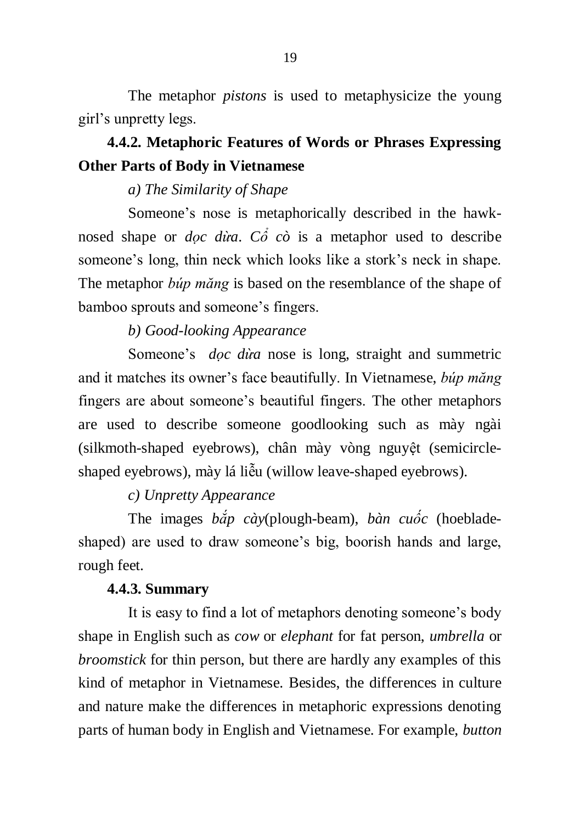The metaphor *pistons* is used to metaphysicize the young girl"s unpretty legs.

# **4.4.2. Metaphoric Features of Words or Phrases Expressing Other Parts of Body in Vietnamese**

### *a) The Similarity of Shape*

Someone's nose is metaphorically described in the hawknosed shape or *dọc dừa*. *Cổ cò* is a metaphor used to describe someone's long, thin neck which looks like a stork's neck in shape. The metaphor *búp măng* is based on the resemblance of the shape of bamboo sprouts and someone"s fingers.

### *b) Good-looking Appearance*

Someone's *doc dừa* nose is long, straight and summetric and it matches its owner"s face beautifully. In Vietnamese, *búp măng* fingers are about someone"s beautiful fingers. The other metaphors are used to describe someone goodlooking such as mày ngài (silkmoth-shaped eyebrows), chân mày vòng nguyệt (semicircleshaped eyebrows), mày lá liễu (willow leave-shaped eyebrows).

### *c) Unpretty Appearance*

The images *bắp cày*(plough-beam), *bàn cuốc* (hoebladeshaped) are used to draw someone's big, boorish hands and large, rough feet.

#### **4.4.3. Summary**

It is easy to find a lot of metaphors denoting someone"s body shape in English such as *cow* or *elephant* for fat person, *umbrella* or *broomstick* for thin person, but there are hardly any examples of this kind of metaphor in Vietnamese. Besides, the differences in culture and nature make the differences in metaphoric expressions denoting parts of human body in English and Vietnamese. For example, *button*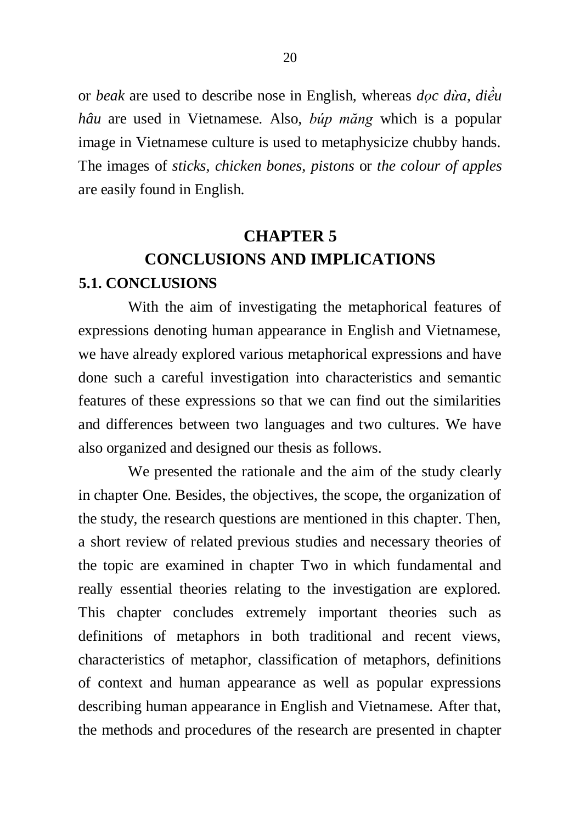or *beak* are used to describe nose in English, whereas *dọc dừa*, *diều hâu* are used in Vietnamese. Also, *búp măng* which is a popular image in Vietnamese culture is used to metaphysicize chubby hands. The images of *sticks*, *chicken bones*, *pistons* or *the colour of apples* are easily found in English.

# **CHAPTER 5 CONCLUSIONS AND IMPLICATIONS 5.1. CONCLUSIONS**

With the aim of investigating the metaphorical features of expressions denoting human appearance in English and Vietnamese, we have already explored various metaphorical expressions and have done such a careful investigation into characteristics and semantic features of these expressions so that we can find out the similarities and differences between two languages and two cultures. We have also organized and designed our thesis as follows.

We presented the rationale and the aim of the study clearly in chapter One. Besides, the objectives, the scope, the organization of the study, the research questions are mentioned in this chapter. Then, a short review of related previous studies and necessary theories of the topic are examined in chapter Two in which fundamental and really essential theories relating to the investigation are explored. This chapter concludes extremely important theories such as definitions of metaphors in both traditional and recent views, characteristics of metaphor, classification of metaphors, definitions of context and human appearance as well as popular expressions describing human appearance in English and Vietnamese. After that, the methods and procedures of the research are presented in chapter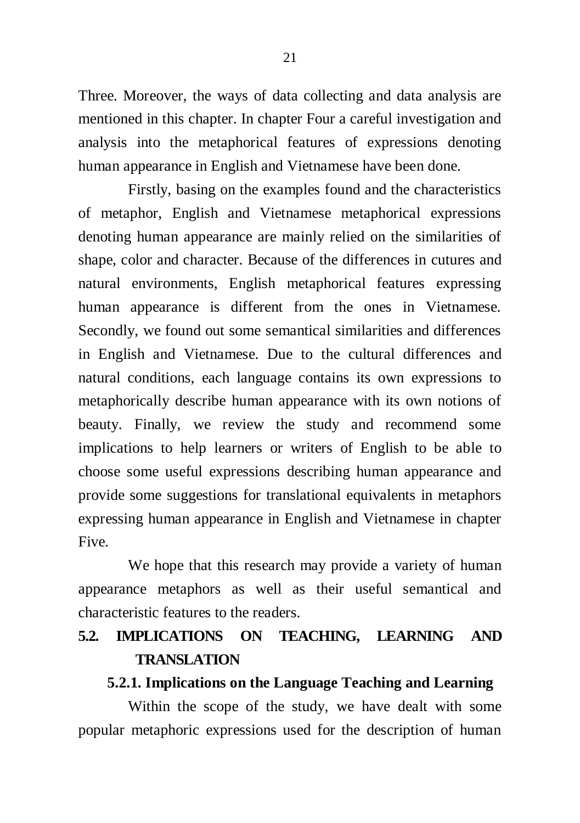Three. Moreover, the ways of data collecting and data analysis are mentioned in this chapter. In chapter Four a careful investigation and analysis into the metaphorical features of expressions denoting human appearance in English and Vietnamese have been done.

Firstly, basing on the examples found and the characteristics of metaphor, English and Vietnamese metaphorical expressions denoting human appearance are mainly relied on the similarities of shape, color and character. Because of the differences in cutures and natural environments, English metaphorical features expressing human appearance is different from the ones in Vietnamese. Secondly, we found out some semantical similarities and differences in English and Vietnamese. Due to the cultural differences and natural conditions, each language contains its own expressions to metaphorically describe human appearance with its own notions of beauty. Finally, we review the study and recommend some implications to help learners or writers of English to be able to choose some useful expressions describing human appearance and provide some suggestions for translational equivalents in metaphors expressing human appearance in English and Vietnamese in chapter Five.

We hope that this research may provide a variety of human appearance metaphors as well as their useful semantical and characteristic features to the readers.

## **5.2. IMPLICATIONS ON TEACHING, LEARNING AND TRANSLATION**

### **5.2.1. Implications on the Language Teaching and Learning**

Within the scope of the study, we have dealt with some popular metaphoric expressions used for the description of human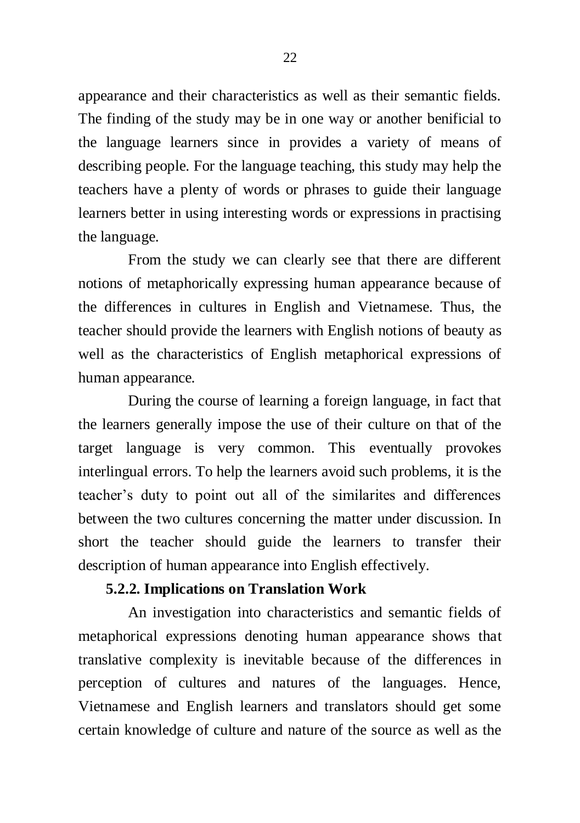appearance and their characteristics as well as their semantic fields. The finding of the study may be in one way or another benificial to the language learners since in provides a variety of means of describing people. For the language teaching, this study may help the teachers have a plenty of words or phrases to guide their language learners better in using interesting words or expressions in practising the language.

From the study we can clearly see that there are different notions of metaphorically expressing human appearance because of the differences in cultures in English and Vietnamese. Thus, the teacher should provide the learners with English notions of beauty as well as the characteristics of English metaphorical expressions of human appearance.

During the course of learning a foreign language, in fact that the learners generally impose the use of their culture on that of the target language is very common. This eventually provokes interlingual errors. To help the learners avoid such problems, it is the teacher"s duty to point out all of the similarites and differences between the two cultures concerning the matter under discussion. In short the teacher should guide the learners to transfer their description of human appearance into English effectively.

### **5.2.2. Implications on Translation Work**

An investigation into characteristics and semantic fields of metaphorical expressions denoting human appearance shows that translative complexity is inevitable because of the differences in perception of cultures and natures of the languages. Hence, Vietnamese and English learners and translators should get some certain knowledge of culture and nature of the source as well as the